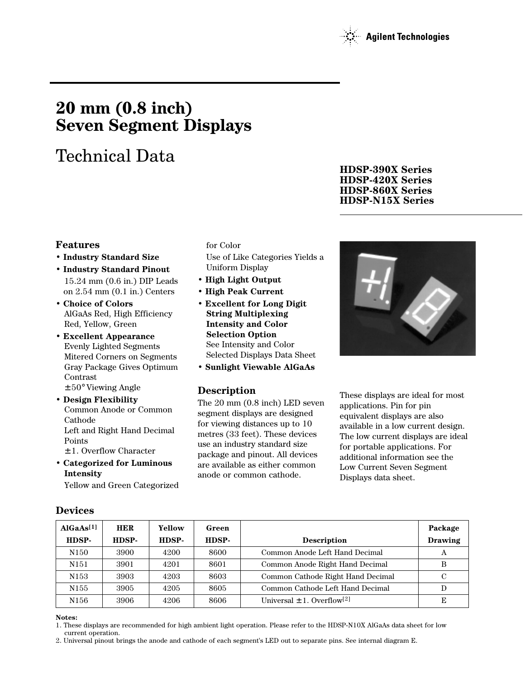

# **20 mm (0.8 inch) Seven Segment Displays**

# Technical Data

# **Features**

- **Industry Standard Size**
- **Industry Standard Pinout** 15.24 mm (0.6 in.) DIP Leads on 2.54 mm (0.1 in.) Centers
- **Choice of Colors** AlGaAs Red, High Efficiency Red, Yellow, Green
- **Excellent Appearance** Evenly Lighted Segments Mitered Corners on Segments Gray Package Gives Optimum Contrast ± 50° Viewing Angle
- **Design Flexibility** Common Anode or Common Cathode Left and Right Hand Decimal Points ± 1. Overflow Character
- **Categorized for Luminous Intensity**

Yellow and Green Categorized

### for Color

Use of Like Categories Yields a Uniform Display

- **High Light Output**
- **High Peak Current**
- **Excellent for Long Digit String Multiplexing Intensity and Color Selection Option** See Intensity and Color Selected Displays Data Sheet
- **Sunlight Viewable AlGaAs**

# **Description**

The 20 mm (0.8 inch) LED seven segment displays are designed for viewing distances up to 10 metres (33 feet). These devices use an industry standard size package and pinout. All devices are available as either common anode or common cathode.

**HDSP-390X Series HDSP-420X Series HDSP-860X Series HDSP-N15X Series**



These displays are ideal for most applications. Pin for pin equivalent displays are also available in a low current design. The low current displays are ideal for portable applications. For additional information see the Low Current Seven Segment Displays data sheet.

| AlGaAs <sup>[1]</sup> | <b>HER</b> | Yellow | Green |                                            | Package        |
|-----------------------|------------|--------|-------|--------------------------------------------|----------------|
| HDSP-                 | HDSP-      | HDSP-  | HDSP- | <b>Description</b>                         | <b>Drawing</b> |
| N <sub>150</sub>      | 3900       | 4200   | 8600  | Common Anode Left Hand Decimal             | А              |
| N151                  | 3901       | 4201   | 8601  | Common Anode Right Hand Decimal            | В              |
| N <sub>153</sub>      | 3903       | 4203   | 8603  | Common Cathode Right Hand Decimal          | C              |
| N <sub>155</sub>      | 3905       | 4205   | 8605  | Common Cathode Left Hand Decimal           | D              |
| N <sub>156</sub>      | 3906       | 4206   | 8606  | Universal $\pm$ 1. Overflow <sup>[2]</sup> | E              |

# **Devices**

### **Notes:**

1. These displays are recommended for high ambient light operation. Please refer to the HDSP-N10X AlGaAs data sheet for low current operation.

2. Universal pinout brings the anode and cathode of each segment's LED out to separate pins. See internal diagram E.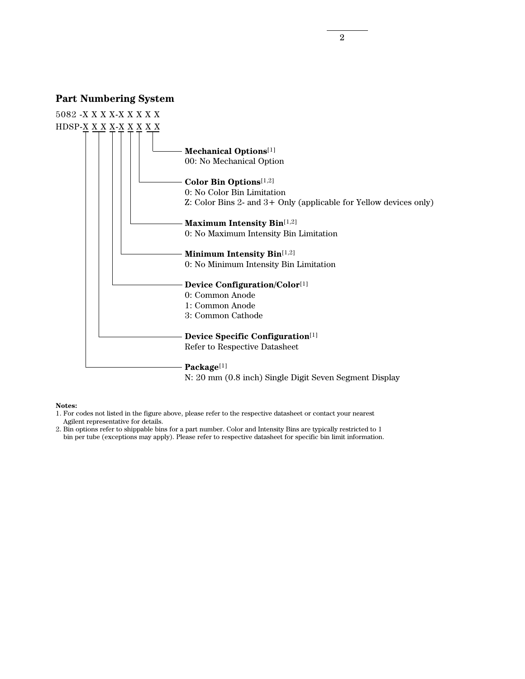### **Part Numbering System**



#### **Notes:**

1. For codes not listed in the figure above, please refer to the respective datasheet or contact your nearest Agilent representative for details.

2. Bin options refer to shippable bins for a part number. Color and Intensity Bins are typically restricted to 1 bin per tube (exceptions may apply). Please refer to respective datasheet for specific bin limit information.

2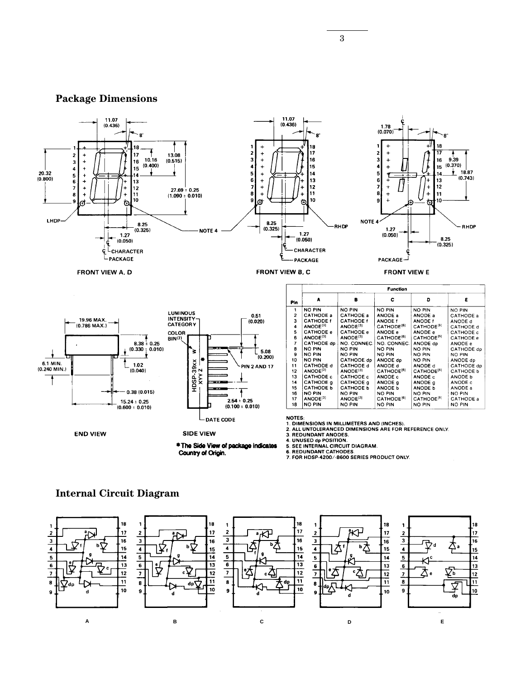# **Package Dimensions**



### **Internal Circuit Diagram**

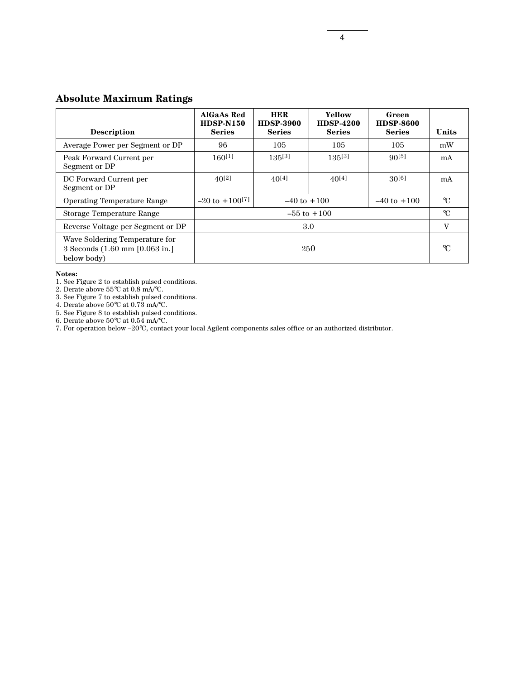# **Absolute Maximum Ratings**

| <b>Description</b>                                                              | <b>AlGaAs Red</b><br><b>HDSP-N150</b><br><b>Series</b> | <b>HER</b><br><b>HDSP-3900</b><br><b>Series</b> | Yellow<br><b>HDSP-4200</b><br><b>Series</b> | Green<br><b>HDSP-8600</b><br><b>Series</b> | Units |  |
|---------------------------------------------------------------------------------|--------------------------------------------------------|-------------------------------------------------|---------------------------------------------|--------------------------------------------|-------|--|
| Average Power per Segment or DP                                                 | 96                                                     | 105                                             | 105                                         | 105                                        | mW    |  |
| Peak Forward Current per<br>Segment or DP                                       | $160^{[1]}$                                            | $135^{[3]}$                                     | $135^{[3]}$                                 | $90^{[5]}$                                 | mA    |  |
| DC Forward Current per<br>Segment or DP                                         | $40^{[2]}$                                             | $40^{[4]}$                                      | $40^{[4]}$                                  | $30^{[6]}$                                 | mA    |  |
| <b>Operating Temperature Range</b>                                              | $-20$ to $+100^{[7]}$                                  | $-40$ to $+100$<br>$-40$ to $+100$              |                                             |                                            |       |  |
| Storage Temperature Range                                                       | $-55$ to $+100$                                        |                                                 |                                             |                                            |       |  |
| Reverse Voltage per Segment or DP                                               | 3.0                                                    |                                                 |                                             |                                            |       |  |
| Wave Soldering Temperature for<br>3 Seconds (1.60 mm [0.063 in.]<br>below body) | 250                                                    |                                                 |                                             |                                            |       |  |

#### **Notes:**

1. See Figure 2 to establish pulsed conditions.

2. Derate above 55°C at 0.8 mA/°C.

3. See Figure 7 to establish pulsed conditions.

4. Derate above 50°C at 0.73 mA/°C.

5. See Figure 8 to establish pulsed conditions.

6. Derate above 50°C at 0.54 mA/°C.

7. For operation below –20°C, contact your local Agilent components sales office or an authorized distributor.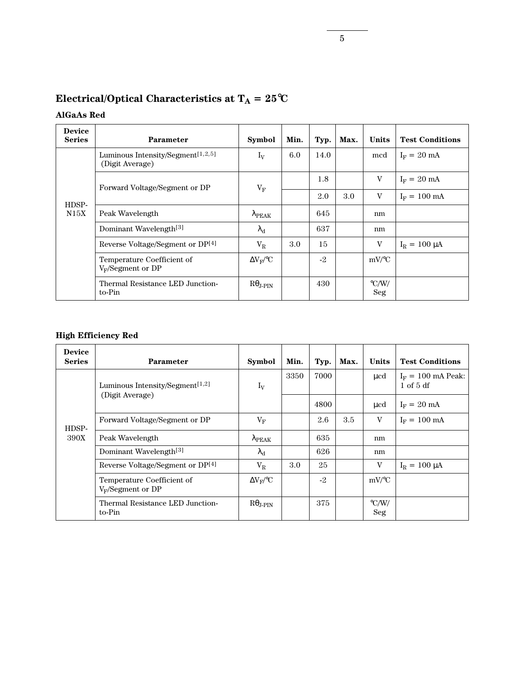|  | Electrical/Optical Characteristics at $T_A = 25^{\circ}C$ |
|--|-----------------------------------------------------------|
|--|-----------------------------------------------------------|

# **AlGaAs Red**

| <b>Device</b><br><b>Series</b> | <b>Parameter</b>                                                 | <b>Symbol</b>             | Min. | Typ. | Max. | Units                      | <b>Test Conditions</b> |
|--------------------------------|------------------------------------------------------------------|---------------------------|------|------|------|----------------------------|------------------------|
|                                | Luminous Intensity/Segment <sup>[1,2,5]</sup><br>(Digit Average) | $I_V$                     | 6.0  | 14.0 |      | mcd                        | $I_F = 20$ mA          |
|                                | Forward Voltage/Segment or DP                                    | $V_{\rm F}$               |      | 1.8  |      | V                          | $I_F = 20$ mA          |
|                                |                                                                  |                           |      | 2.0  | 3.0  | V                          | $I_F = 100 \text{ mA}$ |
| HDSP-<br>N15X                  | Peak Wavelength                                                  | $\lambda_{\mathrm{PEAK}}$ |      | 645  |      | nm                         |                        |
|                                | Dominant Wavelength <sup>[3]</sup>                               | $\lambda_{\rm d}$         |      | 637  |      | nm                         |                        |
|                                | Reverse Voltage/Segment or DP[4]                                 | $V_{R}$                   | 3.0  | 15   |      | V                          | $I_R = 100 \mu A$      |
|                                | Temperature Coefficient of<br>$V_F/S$ egment or DP               | $\Delta V_{\rm F}$ /°C    |      | $-2$ |      | $mV$ /°C                   |                        |
|                                | Thermal Resistance LED Junction-<br>to-Pin                       | $R\theta_{\text{J-PIN}}$  |      | 430  |      | $\rm ^{\circ} C/W/$<br>Seg |                        |

# **High Efficiency Red**

| <b>Device</b><br><b>Series</b> | <b>Parameter</b>                                   | <b>Symbol</b>             | Min. | Typ. | Max. | <b>Units</b>               | <b>Test Conditions</b>                |
|--------------------------------|----------------------------------------------------|---------------------------|------|------|------|----------------------------|---------------------------------------|
|                                | Luminous Intensity/Segment <sup>[1,2]</sup>        | $I_V$                     | 3350 | 7000 |      | ucd                        | $I_F = 100$ mA Peak:<br>$1$ of $5$ df |
|                                | (Digit Average)                                    |                           |      | 4800 |      | $\mu$ cd                   | $I_F = 20$ mA                         |
| HDSP-                          | Forward Voltage/Segment or DP                      | $V_{\rm F}$               |      | 2.6  | 3.5  | V                          | $I_F = 100 \text{ mA}$                |
| 390X                           | Peak Wavelength                                    | $\lambda_{\mathrm{PEAK}}$ |      | 635  |      | nm                         |                                       |
|                                | Dominant Wavelength <sup>[3]</sup>                 | $\lambda_{\rm d}$         |      | 626  |      | nm                         |                                       |
|                                | Reverse Voltage/Segment or DP <sup>[4]</sup>       | $\rm V_R$                 | 3.0  | 25   |      | V                          | $I_R = 100 \mu A$                     |
|                                | Temperature Coefficient of<br>$V_F/S$ egment or DP | $\Delta V_{\rm F}$ /°C    |      | $-2$ |      | $mV$ /°C                   |                                       |
|                                | Thermal Resistance LED Junction-<br>to-Pin         | $R\theta_{\text{J-PIN}}$  |      | 375  |      | $\rm ^{\circ}$ C/W/<br>Seg |                                       |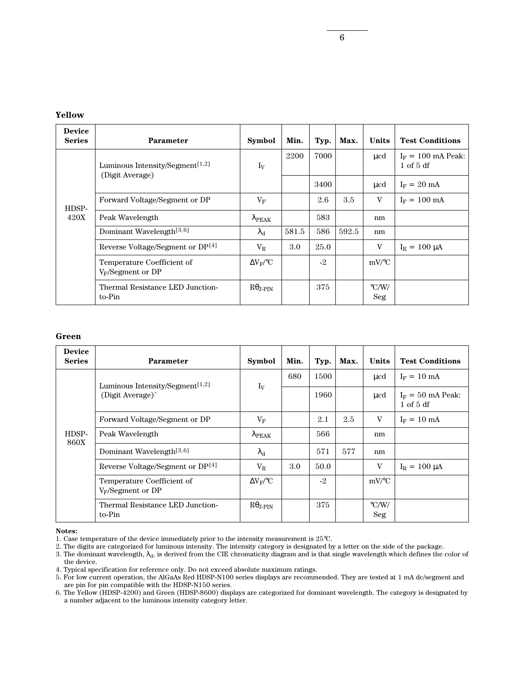### **Yellow**

| <b>Device</b><br><b>Series</b> | <b>Parameter</b>                                               | <b>Symbol</b>                | Min.  | Typ. | Max.  | <b>Units</b>               | <b>Test Conditions</b>                |
|--------------------------------|----------------------------------------------------------------|------------------------------|-------|------|-------|----------------------------|---------------------------------------|
|                                | Luminous Intensity/Segment <sup>[1,2]</sup><br>(Digit Average) | $I_V$                        | 2200  | 7000 |       | ucd                        | $I_F = 100$ mA Peak:<br>$1$ of $5$ df |
|                                |                                                                |                              |       | 3400 |       | $\mu$ cd                   | $I_F = 20$ mA                         |
| HDSP-                          | Forward Voltage/Segment or DP                                  | $V_{\rm F}$                  |       | 2.6  | 3.5   | V                          | $I_F = 100 \text{ mA}$                |
| 420X                           | Peak Wavelength                                                | $\lambda_{\mathrm{PEAK}}$    |       | 583  |       | nm                         |                                       |
|                                | Dominant Wavelength <sup>[3,6]</sup>                           | $\lambda_{\rm d}$            | 581.5 | 586  | 592.5 | nm                         |                                       |
|                                | Reverse Voltage/Segment or DP <sup>[4]</sup>                   | $\rm V_R$                    | 3.0   | 25.0 |       | V                          | $I_R = 100 \mu A$                     |
|                                | Temperature Coefficient of<br>$V_F/S$ egment or DP             | $\Delta V_{\rm F}/^{\circ}C$ |       | $-2$ |       | $mV$ /°C                   |                                       |
|                                | Thermal Resistance LED Junction-<br>to-Pin                     | $R\theta$ depth              |       | 375  |       | $\rm ^{\circ}$ C/W/<br>Seg |                                       |

### **Green**

| <b>Device</b><br><b>Series</b> | <b>Parameter</b>                                   | <b>Symbol</b>             | Min. | Typ. | Max. | Units                      | <b>Test Conditions</b>               |
|--------------------------------|----------------------------------------------------|---------------------------|------|------|------|----------------------------|--------------------------------------|
|                                | Luminous Intensity/Segment <sup>[1,2]</sup>        | $I_V$                     | 680  | 1500 |      | ucd                        | $I_F = 10 \text{ mA}$                |
|                                | (Digit Average)                                    |                           |      | 1960 |      | μcd                        | $I_F = 50$ mA Peak:<br>$1$ of $5$ df |
|                                | Forward Voltage/Segment or DP                      | $V_{\rm F}$               |      | 2.1  | 2.5  | V                          | $I_F = 10$ mA                        |
| HDSP-<br><b>860X</b>           | Peak Wavelength                                    | $\lambda_{\mathrm{PEAK}}$ |      | 566  |      | nm                         |                                      |
|                                | Dominant Wavelength <sup>[3,6]</sup>               | $\lambda_{\rm d}$         |      | 571  | 577  | nm                         |                                      |
|                                | Reverse Voltage/Segment or DP <sup>[4]</sup>       | $V_{R}$                   | 3.0  | 50.0 |      | V                          | $I_R = 100 \mu A$                    |
|                                | Temperature Coefficient of<br>$V_F/S$ egment or DP | $\Delta V_{\rm F}$ /°C    |      | $-2$ |      | $mV$ /°C                   |                                      |
|                                | Thermal Resistance LED Junction-<br>to-Pin         | $R\theta_{\text{J-PIN}}$  |      | 375  |      | $\rm ^{\circ} C/W/$<br>Seg |                                      |

#### **Notes:**

2. The digits are categorized for luminous intensity. The intensity category is designated by a letter on the side of the package.

<sup>1.</sup> Case temperature of the device immediately prior to the intensity measurement is 25°C.

<sup>3.</sup> The dominant wavelength,  $\lambda_d$ , is derived from the CIE chromaticity diagram and is that single wavelength which defines the color of the device.

<sup>4.</sup> Typical specification for reference only. Do not exceed absolute maximum ratings.

<sup>5.</sup> For low current operation, the AlGaAs Red HDSP-N100 series displays are recommended. They are tested at 1 mA dc/segment and are pin for pin compatible with the HDSP-N150 series.

<sup>6.</sup> The Yellow (HDSP-4200) and Green (HDSP-8600) displays are categorized for dominant wavelength. The category is designated by a number adjacent to the luminous intensity category letter.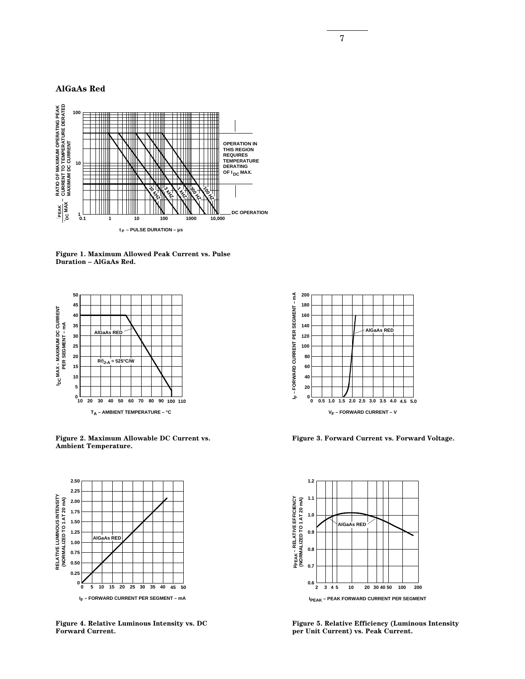7

### **AlGaAs Red**



**Figure 1. Maximum Allowed Peak Current vs. Pulse Duration – AlGaAs Red.**



**Figure 2. Maximum Allowable DC Current vs. Ambient Temperature.**



**Figure 4. Relative Luminous Intensity vs. DC Forward Current.**



**Figure 3. Forward Current vs. Forward Voltage.**



**Figure 5. Relative Efficiency (Luminous Intensity per Unit Current) vs. Peak Current.**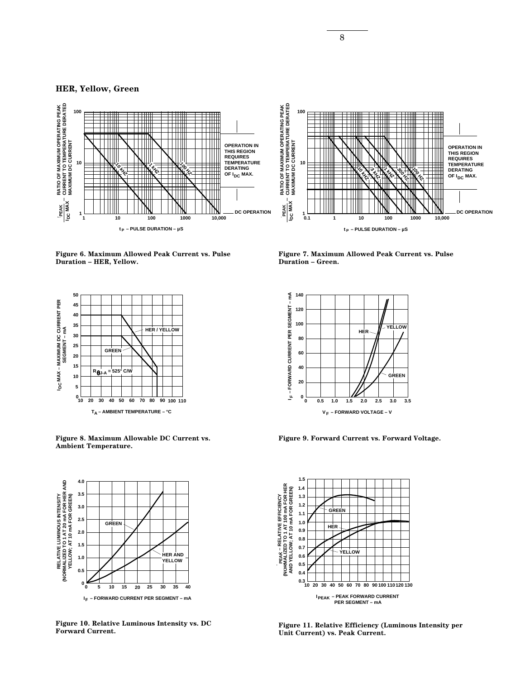### **HER, Yellow, Green**





**Figure 6. Maximum Allowed Peak Current vs. Pulse Duration – HER, Yellow.**



**Figure 8. Maximum Allowable DC Current vs. Ambient Temperature.**



**Figure 10. Relative Luminous Intensity vs. DC Forward Current.**

**Figure 7. Maximum Allowed Peak Current vs. Pulse Duration – Green.**



**Figure 9. Forward Current vs. Forward Voltage.**



**Figure 11. Relative Efficiency (Luminous Intensity per Unit Current) vs. Peak Current.**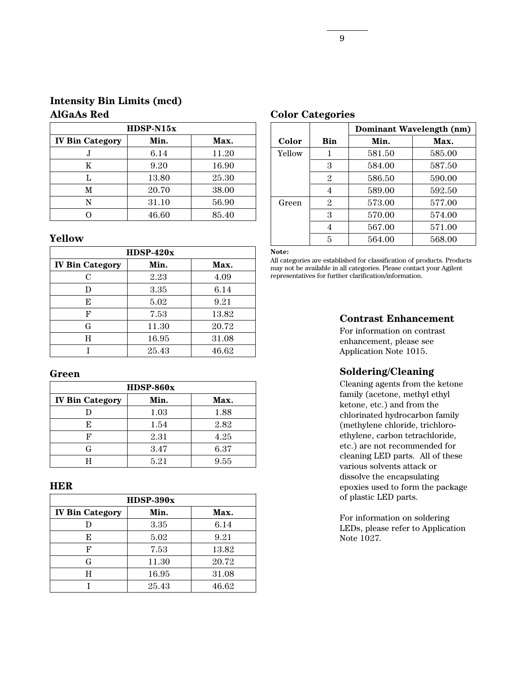| $H$ DSP-N15 $x$        |       |       |  |  |  |
|------------------------|-------|-------|--|--|--|
| <b>IV Bin Category</b> | Min.  | Max.  |  |  |  |
| J                      | 6.14  | 11.20 |  |  |  |
| K                      | 9.20  | 16.90 |  |  |  |
| L                      | 13.80 | 25.30 |  |  |  |
| M                      | 20.70 | 38.00 |  |  |  |
| N                      | 31.10 | 56.90 |  |  |  |
|                        | 46.60 | 85.40 |  |  |  |

# **Yellow**

| $H$ DSP-420 $x$        |       |       |  |  |  |
|------------------------|-------|-------|--|--|--|
| <b>IV Bin Category</b> | Min.  | Max.  |  |  |  |
| C                      | 2.23  | 4.09  |  |  |  |
| D                      | 3.35  | 6.14  |  |  |  |
| E                      | 5.02  | 9.21  |  |  |  |
| F                      | 7.53  | 13.82 |  |  |  |
| G                      | 11.30 | 20.72 |  |  |  |
| H                      | 16.95 | 31.08 |  |  |  |
|                        | 25.43 | 46.62 |  |  |  |

### **Green**

| $H$ DSP-860 $x$        |      |      |  |  |  |
|------------------------|------|------|--|--|--|
| <b>IV Bin Category</b> | Min. | Max. |  |  |  |
|                        | 1.03 | 1.88 |  |  |  |
| E                      | 1.54 | 2.82 |  |  |  |
| F                      | 2.31 | 4.25 |  |  |  |
| G                      | 3.47 | 6.37 |  |  |  |
|                        | 5.21 | 9.55 |  |  |  |

# **HER**

| $H$ DSP-390 $x$        |       |       |  |  |  |
|------------------------|-------|-------|--|--|--|
| <b>IV Bin Category</b> | Min.  | Max.  |  |  |  |
|                        | 3.35  | 6.14  |  |  |  |
| E                      | 5.02  | 9.21  |  |  |  |
| F                      | 7.53  | 13.82 |  |  |  |
| G                      | 11.30 | 20.72 |  |  |  |
| H                      | 16.95 | 31.08 |  |  |  |
|                        | 25.43 | 46.62 |  |  |  |

# **Color Categories**

|        |                | Dominant Wavelength (nm) |        |  |  |  |
|--------|----------------|--------------------------|--------|--|--|--|
| Color  | Bin            | Min.                     | Max.   |  |  |  |
| Yellow | 1              | 581.50                   | 585.00 |  |  |  |
|        | 3              | 584.00                   | 587.50 |  |  |  |
|        | $\mathfrak{D}$ | 586.50                   | 590.00 |  |  |  |
|        | 4              | 589.00                   | 592.50 |  |  |  |
| Green  | 2              | 573.00                   | 577.00 |  |  |  |
|        | 3              | 570.00                   | 574.00 |  |  |  |
|        |                | 567.00                   | 571.00 |  |  |  |
|        | 5              | 564.00                   | 568.00 |  |  |  |

**Note:**

All categories are established for classification of products. Products may not be available in all categories. Please contact your Agilent representatives for further clarification/information.

# **Contrast Enhancement**

For information on contrast enhancement, please see Application Note 1015.

# **Soldering/Cleaning**

Cleaning agents from the ketone family (acetone, methyl ethyl ketone, etc.) and from the chlorinated hydrocarbon family (methylene chloride, trichloroethylene, carbon tetrachloride, etc.) are not recommended for cleaning LED parts. All of these various solvents attack or dissolve the encapsulating epoxies used to form the package of plastic LED parts.

For information on soldering LEDs, please refer to Application Note 1027.